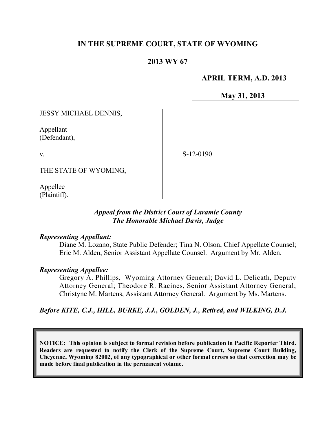## **IN THE SUPREME COURT, STATE OF WYOMING**

## **2013 WY 67**

### **APRIL TERM, A.D. 2013**

**May 31, 2013**

JESSY MICHAEL DENNIS,

Appellant (Defendant),

v.

S-12-0190

THE STATE OF WYOMING,

Appellee (Plaintiff).

### *Appeal from the District Court of Laramie County The Honorable Michael Davis, Judge*

#### *Representing Appellant:*

Diane M. Lozano, State Public Defender; Tina N. Olson, Chief Appellate Counsel; Eric M. Alden, Senior Assistant Appellate Counsel. Argument by Mr. Alden.

### *Representing Appellee:*

Gregory A. Phillips, Wyoming Attorney General; David L. Delicath, Deputy Attorney General; Theodore R. Racines, Senior Assistant Attorney General; Christyne M. Martens, Assistant Attorney General. Argument by Ms. Martens.

*Before KITE, C.J., HILL, BURKE, J.J., GOLDEN, J., Retired, and WILKING, D.J.*

**NOTICE: This opinion is subject to formal revision before publication in Pacific Reporter Third. Readers are requested to notify the Clerk of the Supreme Court, Supreme Court Building, Cheyenne, Wyoming 82002, of any typographical or other formal errors so that correction may be made before final publication in the permanent volume.**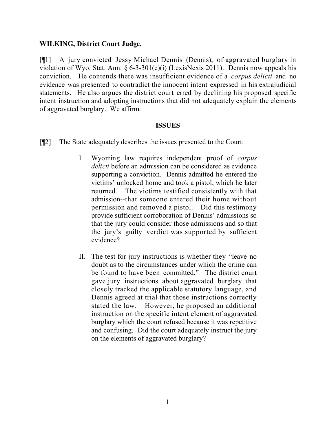### **WILKING, District Court Judge.**

[¶1] A jury convicted Jessy Michael Dennis (Dennis), of aggravated burglary in violation of Wyo. Stat. Ann.  $\S 6-3-301(c)(i)$  (LexisNexis 2011). Dennis now appeals his conviction. He contends there was insufficient evidence of a *corpus delicti* and no evidence was presented to contradict the innocent intent expressed in his extrajudicial statements. He also argues the district court erred by declining his proposed specific intent instruction and adopting instructions that did not adequately explain the elements of aggravated burglary. We affirm.

### **ISSUES**

- [¶2] The State adequately describes the issues presented to the Court:
	- I. Wyoming law requires independent proof of *corpus delicti* before an admission can be considered as evidence supporting a conviction. Dennis admitted he entered the victims' unlocked home and took a pistol, which he later returned. The victims testified consistently with that admission--that someone entered their home without permission and removed a pistol. Did this testimony provide sufficient corroboration of Dennis' admissions so that the jury could consider those admissions and so that the jury's guilty verdict was supported by sufficient evidence?
	- II. The test for jury instructions is whether they "leave no doubt as to the circumstances under which the crime can be found to have been committed." The district court gave jury instructions about aggravated burglary that closely tracked the applicable statutory language, and Dennis agreed at trial that those instructions correctly stated the law. However, he proposed an additional instruction on the specific intent element of aggravated burglary which the court refused because it was repetitive and confusing. Did the court adequately instruct the jury on the elements of aggravated burglary?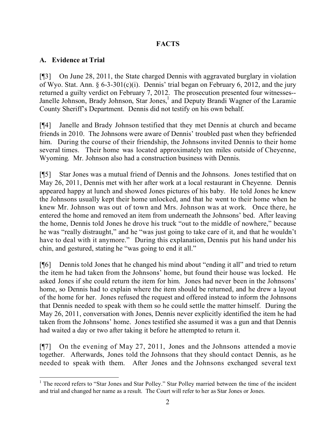## **FACTS**

## **A. Evidence at Trial**

[¶3] On June 28, 2011, the State charged Dennis with aggravated burglary in violation of Wyo. Stat. Ann.  $\S 6-3-301(c)(i)$ . Dennis' trial began on February 6, 2012, and the jury returned a guilty verdict on February 7, 2012. The prosecution presented four witnesses-- Janelle Johnson, Brady Johnson, Star Jones,<sup>1</sup> and Deputy Brandi Wagner of the Laramie County Sheriff's Department. Dennis did not testify on his own behalf.

[¶4] Janelle and Brady Johnson testified that they met Dennis at church and became friends in 2010. The Johnsons were aware of Dennis' troubled past when they befriended him. During the course of their friendship, the Johnsons invited Dennis to their home several times. Their home was located approximately ten miles outside of Cheyenne, Wyoming. Mr. Johnson also had a construction business with Dennis.

[¶5] Star Jones was a mutual friend of Dennis and the Johnsons. Jones testified that on May 26, 2011, Dennis met with her after work at a local restaurant in Cheyenne. Dennis appeared happy at lunch and showed Jones pictures of his baby. He told Jones he knew the Johnsons usually kept their home unlocked, and that he went to their home when he knew Mr. Johnson was out of town and Mrs. Johnson was at work. Once there, he entered the home and removed an item from underneath the Johnsons' bed. After leaving the home, Dennis told Jones he drove his truck "out to the middle of nowhere," because he was "really distraught," and he "was just going to take care of it, and that he wouldn't have to deal with it anymore." During this explanation, Dennis put his hand under his chin, and gestured, stating he "was going to end it all."

[¶6] Dennis told Jones that he changed his mind about "ending it all" and tried to return the item he had taken from the Johnsons' home, but found their house was locked. He asked Jones if she could return the item for him. Jones had never been in the Johnsons' home, so Dennis had to explain where the item should be returned, and he drew a layout of the home for her. Jones refused the request and offered instead to inform the Johnsons that Dennis needed to speak with them so he could settle the matter himself. During the May 26, 2011, conversation with Jones, Dennis never explicitly identified the item he had taken from the Johnsons' home. Jones testified she assumed it was a gun and that Dennis had waited a day or two after taking it before he attempted to return it.

[¶7] On the evening of May 27, 2011, Jones and the Johnsons attended a movie together. Afterwards, Jones told the Johnsons that they should contact Dennis, as he needed to speak with them. After Jones and the Johnsons exchanged several text

 <sup>1</sup> The record refers to "Star Jones and Star Polley." Star Polley married between the time of the incident and trial and changed her name as a result. The Court will refer to her as Star Jones or Jones.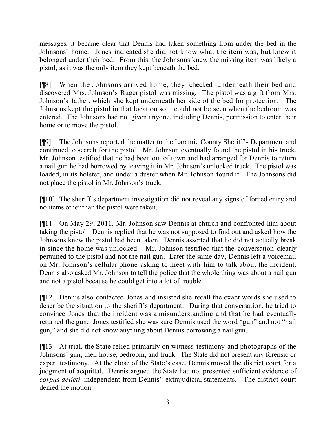messages, it became clear that Dennis had taken something from under the bed in the Johnsons' home. Jones indicated she did not know what the item was, but knew it belonged under their bed. From this, the Johnsons knew the missing item was likely a pistol, as it was the only item they kept beneath the bed.

[¶8] When the Johnsons arrived home, they checked underneath their bed and discovered Mrs. Johnson's Ruger pistol was missing. The pistol was a gift from Mrs. Johnson's father, which she kept underneath her side of the bed for protection. The Johnsons kept the pistol in that location so it could not be seen when the bedroom was entered. The Johnsons had not given anyone, including Dennis, permission to enter their home or to move the pistol.

[¶9] The Johnsons reported the matter to the Laramie County Sheriff's Department and continued to search for the pistol. Mr. Johnson eventually found the pistol in his truck. Mr. Johnson testified that he had been out of town and had arranged for Dennis to return a nail gun he had borrowed by leaving it in Mr. Johnson's unlocked truck. The pistol was loaded, in its holster, and under a duster when Mr. Johnson found it. The Johnsons did not place the pistol in Mr. Johnson's truck.

[¶10] The sheriff's department investigation did not reveal any signs of forced entry and no items other than the pistol were taken.

[¶11] On May 29, 2011, Mr. Johnson saw Dennis at church and confronted him about taking the pistol. Dennis replied that he was not supposed to find out and asked how the Johnsons knew the pistol had been taken. Dennis asserted that he did not actually break in since the home was unlocked. Mr. Johnson testified that the conversation clearly pertained to the pistol and not the nail gun. Later the same day, Dennis left a voicemail on Mr. Johnson's cellular phone asking to meet with him to talk about the incident. Dennis also asked Mr. Johnson to tell the police that the whole thing was about a nail gun and not a pistol because he could get into a lot of trouble.

[¶12] Dennis also contacted Jones and insisted she recall the exact words she used to describe the situation to the sheriff's department. During that conversation, he tried to convince Jones that the incident was a misunderstanding and that he had eventually returned the gun. Jones testified she was sure Dennis used the word "gun" and not "nail gun," and she did not know anything about Dennis borrowing a nail gun.

[¶13] At trial, the State relied primarily on witness testimony and photographs of the Johnsons' gun, their house, bedroom, and truck. The State did not present any forensic or expert testimony. At the close of the State's case, Dennis moved the district court for a judgment of acquittal. Dennis argued the State had not presented sufficient evidence of *corpus delicti* independent from Dennis' extrajudicial statements. The district court denied the motion.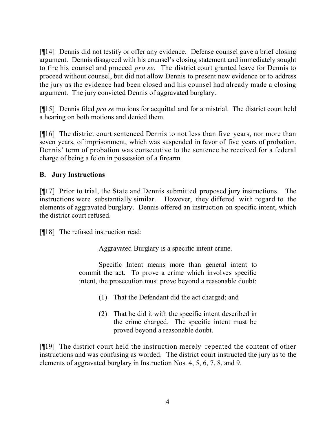[¶14] Dennis did not testify or offer any evidence. Defense counsel gave a brief closing argument. Dennis disagreed with his counsel's closing statement and immediately sought to fire his counsel and proceed *pro se*. The district court granted leave for Dennis to proceed without counsel, but did not allow Dennis to present new evidence or to address the jury as the evidence had been closed and his counsel had already made a closing argument. The jury convicted Dennis of aggravated burglary.

[¶15] Dennis filed *pro se* motions for acquittal and for a mistrial. The district court held a hearing on both motions and denied them.

[¶16] The district court sentenced Dennis to not less than five years, nor more than seven years, of imprisonment, which was suspended in favor of five years of probation. Dennis' term of probation was consecutive to the sentence he received for a federal charge of being a felon in possession of a firearm.

## **B. Jury Instructions**

[¶17] Prior to trial, the State and Dennis submitted proposed jury instructions. The instructions were substantially similar. However, they differed with regard to the elements of aggravated burglary. Dennis offered an instruction on specific intent, which the district court refused.

[¶18] The refused instruction read:

Aggravated Burglary is a specific intent crime.

Specific Intent means more than general intent to commit the act. To prove a crime which involves specific intent, the prosecution must prove beyond a reasonable doubt:

- (1) That the Defendant did the act charged; and
- (2) That he did it with the specific intent described in the crime charged. The specific intent must be proved beyond a reasonable doubt.

[¶19] The district court held the instruction merely repeated the content of other instructions and was confusing as worded. The district court instructed the jury as to the elements of aggravated burglary in Instruction Nos. 4, 5, 6, 7, 8, and 9.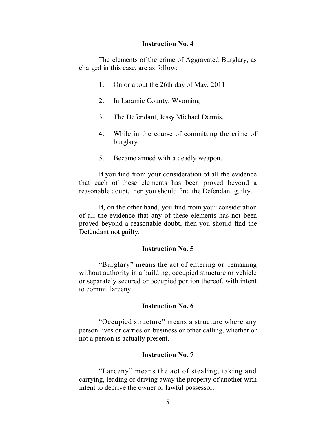#### **Instruction No. 4**

The elements of the crime of Aggravated Burglary, as charged in this case, are as follow:

- 1. On or about the 26th day of May, 2011
- 2. In Laramie County, Wyoming
- 3. The Defendant, Jessy Michael Dennis,
- 4. While in the course of committing the crime of burglary
- 5. Became armed with a deadly weapon.

If you find from your consideration of all the evidence that each of these elements has been proved beyond a reasonable doubt, then you should find the Defendant guilty.

If, on the other hand, you find from your consideration of all the evidence that any of these elements has not been proved beyond a reasonable doubt, then you should find the Defendant not guilty.

#### **Instruction No. 5**

"Burglary" means the act of entering or remaining without authority in a building, occupied structure or vehicle or separately secured or occupied portion thereof, with intent to commit larceny.

#### **Instruction No. 6**

"Occupied structure" means a structure where any person lives or carries on business or other calling, whether or not a person is actually present.

#### **Instruction No. 7**

"Larceny" means the act of stealing, taking and carrying, leading or driving away the property of another with intent to deprive the owner or lawful possessor.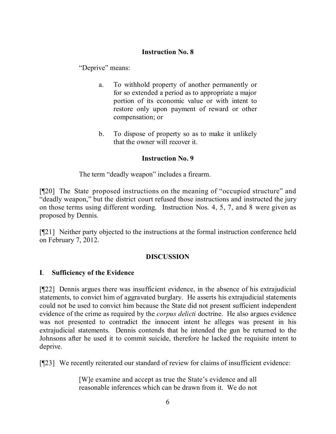## **Instruction No. 8**

"Deprive" means:

- a. To withhold property of another permanently or for so extended a period as to appropriate a major portion of its economic value or with intent to restore only upon payment of reward or other compensation; or
- b. To dispose of property so as to make it unlikely that the owner will recover it.

## **Instruction No. 9**

The term "deadly weapon" includes a firearm.

[¶20] The State proposed instructions on the meaning of "occupied structure" and "deadly weapon," but the district court refused those instructions and instructed the jury on those terms using different wording. Instruction Nos. 4, 5, 7, and 8 were given as proposed by Dennis.

[¶21] Neither party objected to the instructions at the formal instruction conference held on February 7, 2012.

## **DISCUSSION**

## **I**. **Sufficiency of the Evidence**

[¶22] Dennis argues there was insufficient evidence, in the absence of his extrajudicial statements, to convict him of aggravated burglary. He asserts his extrajudicial statements could not be used to convict him because the State did not present sufficient independent evidence of the crime as required by the *corpus delicti* doctrine. He also argues evidence was not presented to contradict the innocent intent he alleges was present in his extrajudicial statements. Dennis contends that he intended the gun be returned to the Johnsons after he used it to commit suicide, therefore he lacked the requisite intent to deprive.

[¶23] We recently reiterated our standard of review for claims of insufficient evidence:

[W]e examine and accept as true the State's evidence and all reasonable inferences which can be drawn from it. We do not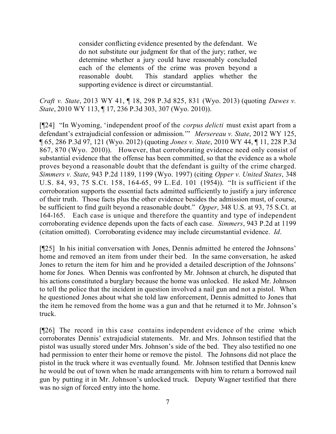consider conflicting evidence presented by the defendant. We do not substitute our judgment for that of the jury; rather, we determine whether a jury could have reasonably concluded each of the elements of the crime was proven beyond a reasonable doubt. This standard applies whether the supporting evidence is direct or circumstantial.

*Craft v. State*, 2013 WY 41, ¶ 18, 298 P.3d 825, 831 (Wyo. 2013) (quoting *Dawes v. State*, 2010 WY 113, ¶ 17, 236 P.3d 303, 307 (Wyo. 2010)).

[¶24] "In Wyoming, 'independent proof of the *corpus delicti* must exist apart from a defendant's extrajudicial confession or admission.'" *Mersereau v. State*, 2012 WY 125, ¶ 65, 286 P.3d 97, 121 (Wyo. 2012) (quoting *Jones v. State*, 2010 WY 44, ¶ 11, 228 P.3d 867, 870 (Wyo. 2010)). However, that corroborating evidence need only consist of substantial evidence that the offense has been committed, so that the evidence as a whole proves beyond a reasonable doubt that the defendant is guilty of the crime charged. *Simmers v. State*, 943 P.2d 1189, 1199 (Wyo. 1997) (citing *Opper v. United States*, 348 U.S. 84, 93, 75 S.Ct. 158, 164-65, 99 L.Ed. 101 (1954)). "It is sufficient if the corroboration supports the essential facts admitted sufficiently to justify a jury inference of their truth. Those facts plus the other evidence besides the admission must, of course, be sufficient to find guilt beyond a reasonable doubt." *Opper*, 348 U.S. at 93, 75 S.Ct. at 164-165. Each case is unique and therefore the quantity and type of independent corroborating evidence depends upon the facts of each case. *Simmers*, 943 P.2d at 1199 (citation omitted). Corroborating evidence may include circumstantial evidence. *Id*.

[¶25] In his initial conversation with Jones, Dennis admitted he entered the Johnsons' home and removed an item from under their bed. In the same conversation, he asked Jones to return the item for him and he provided a detailed description of the Johnsons' home for Jones. When Dennis was confronted by Mr. Johnson at church, he disputed that his actions constituted a burglary because the home was unlocked. He asked Mr. Johnson to tell the police that the incident in question involved a nail gun and not a pistol. When he questioned Jones about what she told law enforcement, Dennis admitted to Jones that the item he removed from the home was a gun and that he returned it to Mr. Johnson's truck.

[¶26] The record in this case contains independent evidence of the crime which corroborates Dennis' extrajudicial statements. Mr. and Mrs. Johnson testified that the pistol was usually stored under Mrs. Johnson's side of the bed. They also testified no one had permission to enter their home or remove the pistol. The Johnsons did not place the pistol in the truck where it was eventually found. Mr. Johnson testified that Dennis knew he would be out of town when he made arrangements with him to return a borrowed nail gun by putting it in Mr. Johnson's unlocked truck. Deputy Wagner testified that there was no sign of forced entry into the home.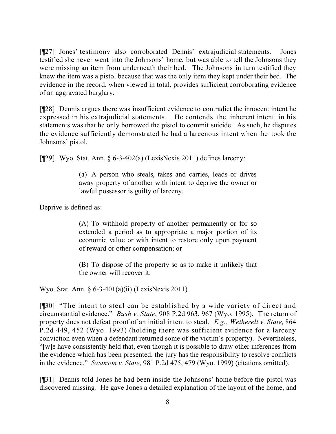[¶27] Jones' testimony also corroborated Dennis' extrajudicial statements. Jones testified she never went into the Johnsons' home, but was able to tell the Johnsons they were missing an item from underneath their bed. The Johnsons in turn testified they knew the item was a pistol because that was the only item they kept under their bed. The evidence in the record, when viewed in total, provides sufficient corroborating evidence of an aggravated burglary.

[¶28] Dennis argues there was insufficient evidence to contradict the innocent intent he expressed in his extrajudicial statements. He contends the inherent intent in his statements was that he only borrowed the pistol to commit suicide. As such, he disputes the evidence sufficiently demonstrated he had a larcenous intent when he took the Johnsons' pistol.

[ $[$ [29] Wyo. Stat. Ann. § 6-3-402(a) (LexisNexis 2011) defines larceny:

(a) A person who steals, takes and carries, leads or drives away property of another with intent to deprive the owner or lawful possessor is guilty of larceny.

Deprive is defined as:

(A) To withhold property of another permanently or for so extended a period as to appropriate a major portion of its economic value or with intent to restore only upon payment of reward or other compensation; or

(B) To dispose of the property so as to make it unlikely that the owner will recover it.

Wyo. Stat. Ann. § 6-3-401(a)(ii) (LexisNexis 2011).

[¶30] "The intent to steal can be established by a wide variety of direct and circumstantial evidence." *Bush v. State*, 908 P.2d 963, 967 (Wyo. 1995). The return of property does not defeat proof of an initial intent to steal. *E.g., Wetherelt v. State*, 864 P.2d 449, 452 (Wyo. 1993) (holding there was sufficient evidence for a larceny conviction even when a defendant returned some of the victim's property). Nevertheless, "[w]e have consistently held that, even though it is possible to draw other inferences from the evidence which has been presented, the jury has the responsibility to resolve conflicts in the evidence." *Swanson v. State*, 981 P.2d 475, 479 (Wyo. 1999) (citations omitted).

[¶31] Dennis told Jones he had been inside the Johnsons' home before the pistol was discovered missing. He gave Jones a detailed explanation of the layout of the home, and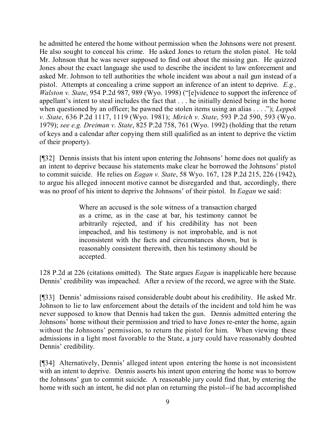he admitted he entered the home without permission when the Johnsons were not present. He also sought to conceal his crime. He asked Jones to return the stolen pistol. He told Mr. Johnson that he was never supposed to find out about the missing gun. He quizzed Jones about the exact language she used to describe the incident to law enforcement and asked Mr. Johnson to tell authorities the whole incident was about a nail gun instead of a pistol. Attempts at concealing a crime support an inference of an intent to deprive. *E.g., Walston v. State*, 954 P.2d 987, 989 (Wyo. 1998) ("[e]vidence to support the inference of appellant's intent to steal includes the fact that . . . he initially denied being in the home when questioned by an officer; he pawned the stolen items using an alias . . . ."); *Leppek v. State*, 636 P.2d 1117, 1119 (Wyo. 1981); *Mirich v. State*, 593 P.2d 590, 593 (Wyo. 1979); *see e.g. Dreiman v. State*, 825 P.2d 758, 761 (Wyo. 1992) (holding that the return of keys and a calendar after copying them still qualified as an intent to deprive the victim of their property).

[¶32] Dennis insists that his intent upon entering the Johnsons' home does not qualify as an intent to deprive because his statements make clear he borrowed the Johnsons' pistol to commit suicide. He relies on *Eagan v. State*, 58 Wyo. 167, 128 P.2d 215, 226 (1942), to argue his alleged innocent motive cannot be disregarded and that, accordingly, there was no proof of his intent to deprive the Johnsons' of their pistol*.* In *Eagan* we said:

> Where an accused is the sole witness of a transaction charged as a crime, as in the case at bar, his testimony cannot be arbitrarily rejected, and if his credibility has not been impeached, and his testimony is not improbable, and is not inconsistent with the facts and circumstances shown, but is reasonably consistent therewith, then his testimony should be accepted.

128 P.2d at 226 (citations omitted). The State argues *Eagan* is inapplicable here because Dennis' credibility was impeached. After a review of the record, we agree with the State.

[¶33] Dennis' admissions raised considerable doubt about his credibility. He asked Mr. Johnson to lie to law enforcement about the details of the incident and told him he was never supposed to know that Dennis had taken the gun. Dennis admitted entering the Johnsons' home without their permission and tried to have Jones re-enter the home, again without the Johnsons' permission, to return the pistol for him. When viewing these admissions in a light most favorable to the State, a jury could have reasonably doubted Dennis' credibility.

[¶34] Alternatively, Dennis' alleged intent upon entering the home is not inconsistent with an intent to deprive. Dennis asserts his intent upon entering the home was to borrow the Johnsons' gun to commit suicide. A reasonable jury could find that, by entering the home with such an intent, he did not plan on returning the pistol--if he had accomplished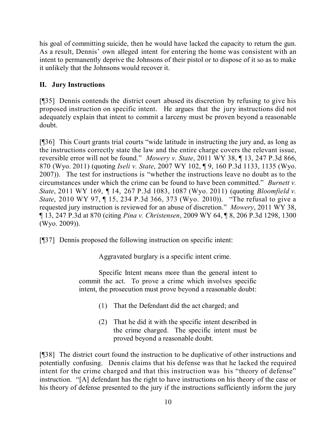his goal of committing suicide, then he would have lacked the capacity to return the gun. As a result, Dennis' own alleged intent for entering the home was consistent with an intent to permanently deprive the Johnsons of their pistol or to dispose of it so as to make it unlikely that the Johnsons would recover it.

# **II. Jury Instructions**

[¶35] Dennis contends the district court abused its discretion by refusing to give his proposed instruction on specific intent. He argues that the jury instructions did not adequately explain that intent to commit a larceny must be proven beyond a reasonable doubt.

[¶36] This Court grants trial courts "wide latitude in instructing the jury and, as long as the instructions correctly state the law and the entire charge covers the relevant issue, reversible error will not be found." *Mowery v. State*, 2011 WY 38, ¶ 13, 247 P.3d 866, 870 (Wyo. 2011) (quoting *Iseli v. State*, 2007 WY 102, ¶ 9, 160 P.3d 1133, 1135 (Wyo. 2007)). The test for instructions is "whether the instructions leave no doubt as to the circumstances under which the crime can be found to have been committed." *Burnett v. State*, 2011 WY 169, ¶ 14, 267 P.3d 1083, 1087 (Wyo. 2011) (quoting *Bloomfield v. State*, 2010 WY 97, ¶ 15, 234 P.3d 366, 373 (Wyo. 2010)). "The refusal to give a requested jury instruction is reviewed for an abuse of discretion." *Mowery*, 2011 WY 38, ¶ 13, 247 P.3d at 870 (citing *Pina v. Christensen*, 2009 WY 64, ¶ 8, 206 P.3d 1298, 1300 (Wyo. 2009)).

[¶37] Dennis proposed the following instruction on specific intent:

Aggravated burglary is a specific intent crime.

Specific Intent means more than the general intent to commit the act. To prove a crime which involves specific intent, the prosecution must prove beyond a reasonable doubt:

- (1) That the Defendant did the act charged; and
- (2) That he did it with the specific intent described in the crime charged. The specific intent must be proved beyond a reasonable doubt.

[¶38] The district court found the instruction to be duplicative of other instructions and potentially confusing. Dennis claims that his defense was that he lacked the required intent for the crime charged and that this instruction was his "theory of defense" instruction. "[A] defendant has the right to have instructions on his theory of the case or his theory of defense presented to the jury if the instructions sufficiently inform the jury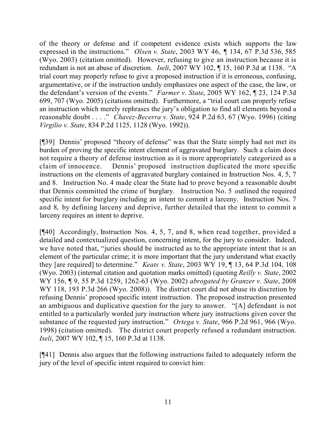of the theory or defense and if competent evidence exists which supports the law expressed in the instructions." *Olsen v. State*, 2003 WY 46, ¶ 134, 67 P.3d 536, 585 (Wyo. 2003) (citation omitted). However, refusing to give an instruction because it is redundant is not an abuse of discretion. *Iseli*, 2007 WY 102, ¶ 15, 160 P.3d at 1138. "A trial court may properly refuse to give a proposed instruction if it is erroneous, confusing, argumentative, or if the instruction unduly emphasizes one aspect of the case, the law, or the defendant's version of the events." *Farmer v. State*, 2005 WY 162, ¶ 23, 124 P.3d 699, 707 (Wyo. 2005) (citations omitted). Furthermore, a "trial court can properly refuse an instruction which merely rephrases the jury's obligation to find all elements beyond a reasonable doubt . . . ." *Chavez-Becerra v. State*, 924 P.2d 63, 67 (Wyo. 1996) (citing *Virgilio v. State*, 834 P.2d 1125, 1128 (Wyo. 1992)).

[¶39] Dennis' proposed "theory of defense" was that the State simply had not met its burden of proving the specific intent element of aggravated burglary. Such a claim does not require a theory of defense instruction as it is more appropriately categorized as a claim of innocence. Dennis' proposed instruction duplicated the more specific instructions on the elements of aggravated burglary contained in Instruction Nos. 4, 5, 7 and 8. Instruction No. 4 made clear the State had to prove beyond a reasonable doubt that Dennis committed the crime of burglary. Instruction No. 5 outlined the required specific intent for burglary including an intent to commit a larceny. Instruction Nos. 7 and 8, by defining larceny and deprive, further detailed that the intent to commit a larceny requires an intent to deprive.

[¶40] Accordingly, Instruction Nos. 4, 5, 7, and 8, when read together, provided a detailed and contextualized question, concerning intent, for the jury to consider. Indeed, we have noted that, "juries should be instructed as to the appropriate intent that is an element of the particular crime; it is more important that the jury understand what exactly they [are required] to determine." *Keats v. State*, 2003 WY 19, ¶ 13, 64 P.3d 104, 108 (Wyo. 2003) (internal citation and quotation marks omitted) (quoting *Reilly v. State*, 2002 WY 156, ¶ 9, 55 P.3d 1259, 1262-63 (Wyo. 2002) *abrogated by Granzer v. State*, 2008 WY 118, 193 P.3d 266 (Wyo. 2008)). The district court did not abuse its discretion by refusing Dennis' proposed specific intent instruction. The proposed instruction presented an ambiguous and duplicative question for the jury to answer. "[A] defendant is not entitled to a particularly worded jury instruction where jury instructions given cover the substance of the requested jury instruction." *Ortega v. State*, 966 P.2d 961, 966 (Wyo. 1998) (citation omitted). The district court properly refused a redundant instruction. *Iseli*, 2007 WY 102, ¶ 15, 160 P.3d at 1138.

[¶41] Dennis also argues that the following instructions failed to adequately inform the jury of the level of specific intent required to convict him: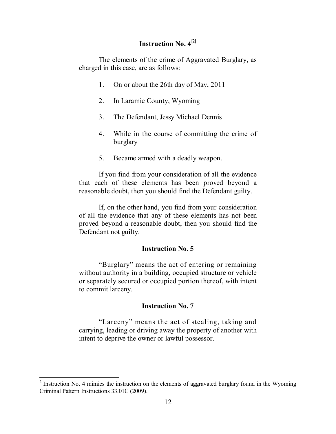# **Instruction No. 4 [2]**

The elements of the crime of Aggravated Burglary, as charged in this case, are as follows:

- 1. On or about the 26th day of May, 2011
- 2. In Laramie County, Wyoming
- 3. The Defendant, Jessy Michael Dennis
- 4. While in the course of committing the crime of burglary
- 5. Became armed with a deadly weapon.

If you find from your consideration of all the evidence that each of these elements has been proved beyond a reasonable doubt, then you should find the Defendant guilty.

If, on the other hand, you find from your consideration of all the evidence that any of these elements has not been proved beyond a reasonable doubt, then you should find the Defendant not guilty.

#### **Instruction No. 5**

"Burglary" means the act of entering or remaining without authority in a building, occupied structure or vehicle or separately secured or occupied portion thereof, with intent to commit larceny.

#### **Instruction No. 7**

"Larceny" means the act of stealing, taking and carrying, leading or driving away the property of another with intent to deprive the owner or lawful possessor.

<sup>&</sup>lt;sup>2</sup> Instruction No. 4 mimics the instruction on the elements of aggravated burglary found in the Wyoming Criminal Pattern Instructions 33.01C (2009).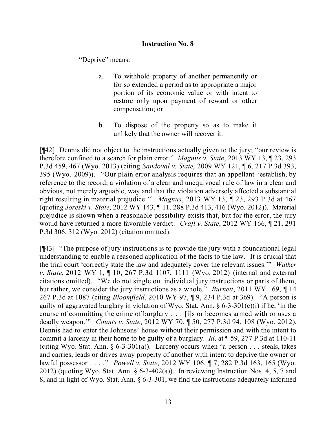### **Instruction No. 8**

"Deprive" means:

- a. To withhold property of another permanently or for so extended a period as to appropriate a major portion of its economic value or with intent to restore only upon payment of reward or other compensation; or
- b. To dispose of the property so as to make it unlikely that the owner will recover it.

[¶42] Dennis did not object to the instructions actually given to the jury; "our review is therefore confined to a search for plain error." *Magnus v. State*, 2013 WY 13, ¶ 23, 293 P.3d 459, 467 (Wyo. 2013) (citing *Sandoval v. State*, 2009 WY 121, ¶ 6, 217 P.3d 393, 395 (Wyo. 2009)). "Our plain error analysis requires that an appellant 'establish, by reference to the record, a violation of a clear and unequivocal rule of law in a clear and obvious, not merely arguable, way and that the violation adversely affected a substantial right resulting in material prejudice.'" *Magnus*, 2013 WY 13, ¶ 23, 293 P.3d at 467 (quoting *Joreski v. State*, 2012 WY 143, ¶ 11, 288 P.3d 413, 416 (Wyo. 2012)). Material prejudice is shown when a reasonable possibility exists that, but for the error, the jury would have returned a more favorable verdict. *Craft v. State*, 2012 WY 166, ¶ 21, 291 P.3d 306, 312 (Wyo. 2012) (citation omitted).

[¶43] "The purpose of jury instructions is to provide the jury with a foundational legal understanding to enable a reasoned application of the facts to the law. It is crucial that the trial court 'correctly state the law and adequately cover the relevant issues.'" *Walker v. State*, 2012 WY 1, ¶ 10, 267 P.3d 1107, 1111 (Wyo. 2012) (internal and external citations omitted). "We do not single out individual jury instructions or parts of them, but rather, we consider the jury instructions as a whole." *Burnett*, 2011 WY 169, ¶ 14 267 P.3d at 1087 (citing *Bloomfield*, 2010 WY 97, ¶ 9, 234 P.3d at 369). "A person is guilty of aggravated burglary in violation of Wyo. Stat. Ann.  $\S 6-3-301(c)(i)$  if he, 'in the course of committing the crime of burglary . . . [i]s or becomes armed with or uses a deadly weapon.'" *Counts v. State*, 2012 WY 70, ¶ 50, 277 P.3d 94, 108 (Wyo. 2012). Dennis had to enter the Johnsons' house without their permission and with the intent to commit a larceny in their home to be guilty of a burglary. *Id*. at ¶ 59, 277 P.3d at 110-11 (citing Wyo. Stat. Ann.  $\S 6-3-301(a)$ ). Larceny occurs when "a person . . . steals, takes and carries, leads or drives away property of another with intent to deprive the owner or lawful possessor . . . ." *Powell v. State*, 2012 WY 106, ¶ 7, 282 P.3d 163, 165 (Wyo. 2012) (quoting Wyo. Stat. Ann.  $\S 6-3-402(a)$ ). In reviewing Instruction Nos. 4, 5, 7 and 8, and in light of Wyo. Stat. Ann. § 6-3-301, we find the instructions adequately informed